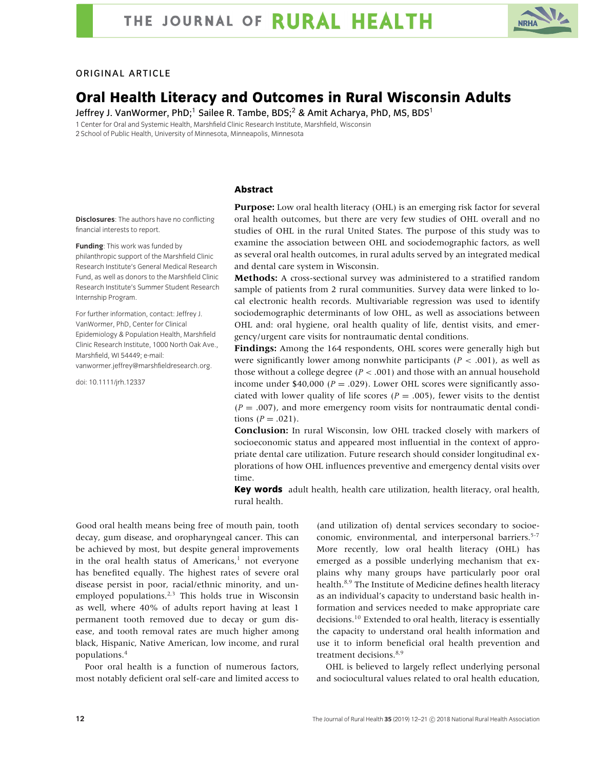

### ORIGINAL ARTICLE

# **Oral Health Literacy and Outcomes in Rural Wisconsin Adults**

Jeffrey J. VanWormer, PhD;<sup>1</sup> Sailee R. Tambe, BDS;<sup>2</sup> & Amit Acharya, PhD, MS, BDS<sup>1</sup> 1 Center for Oral and Systemic Health, Marshfield Clinic Research Institute, Marshfield, Wisconsin

2 School of Public Health, University of Minnesota, Minneapolis, Minnesota

#### **Abstract**

**Disclosures**: The authors have no conflicting financial interests to report.

**Funding**: This work was funded by philanthropic support of the Marshfield Clinic Research Institute's General Medical Research Fund, as well as donors to the Marshfield Clinic Research Institute's Summer Student Research Internship Program.

For further information, contact: Jeffrey J. VanWormer, PhD, Center for Clinical Epidemiology & Population Health, Marshfield Clinic Research Institute, 1000 North Oak Ave., Marshfield, WI 54449; e-mail: vanwormer.jeffrey@marshfieldresearch.org.

doi: 10.1111/jrh.12337

**Purpose:** Low oral health literacy (OHL) is an emerging risk factor for several oral health outcomes, but there are very few studies of OHL overall and no studies of OHL in the rural United States. The purpose of this study was to examine the association between OHL and sociodemographic factors, as well as several oral health outcomes, in rural adults served by an integrated medical and dental care system in Wisconsin.

**Methods:** A cross-sectional survey was administered to a stratified random sample of patients from 2 rural communities. Survey data were linked to local electronic health records. Multivariable regression was used to identify sociodemographic determinants of low OHL, as well as associations between OHL and: oral hygiene, oral health quality of life, dentist visits, and emergency/urgent care visits for nontraumatic dental conditions.

**Findings:** Among the 164 respondents, OHL scores were generally high but were significantly lower among nonwhite participants (*P* < .001), as well as those without a college degree (*P* < .001) and those with an annual household income under \$40,000 ( $P = .029$ ). Lower OHL scores were significantly associated with lower quality of life scores ( $P = .005$ ), fewer visits to the dentist  $(P = .007)$ , and more emergency room visits for nontraumatic dental conditions (*P* = .021).

**Conclusion:** In rural Wisconsin, low OHL tracked closely with markers of socioeconomic status and appeared most influential in the context of appropriate dental care utilization. Future research should consider longitudinal explorations of how OHL influences preventive and emergency dental visits over time.

**Key words** adult health, health care utilization, health literacy, oral health, rural health.

Good oral health means being free of mouth pain, tooth decay, gum disease, and oropharyngeal cancer. This can be achieved by most, but despite general improvements in the oral health status of  $Americans<sup>1</sup>$  not everyone has benefited equally. The highest rates of severe oral disease persist in poor, racial/ethnic minority, and unemployed populations.<sup>2,3</sup> This holds true in Wisconsin as well, where 40% of adults report having at least 1 permanent tooth removed due to decay or gum disease, and tooth removal rates are much higher among black, Hispanic, Native American, low income, and rural populations.4

Poor oral health is a function of numerous factors, most notably deficient oral self-care and limited access to (and utilization of) dental services secondary to socioeconomic, environmental, and interpersonal barriers.<sup>5-7</sup> More recently, low oral health literacy (OHL) has emerged as a possible underlying mechanism that explains why many groups have particularly poor oral health.<sup>8,9</sup> The Institute of Medicine defines health literacy as an individual's capacity to understand basic health information and services needed to make appropriate care decisions.<sup>10</sup> Extended to oral health, literacy is essentially the capacity to understand oral health information and use it to inform beneficial oral health prevention and treatment decisions.<sup>8,9</sup>

OHL is believed to largely reflect underlying personal and sociocultural values related to oral health education,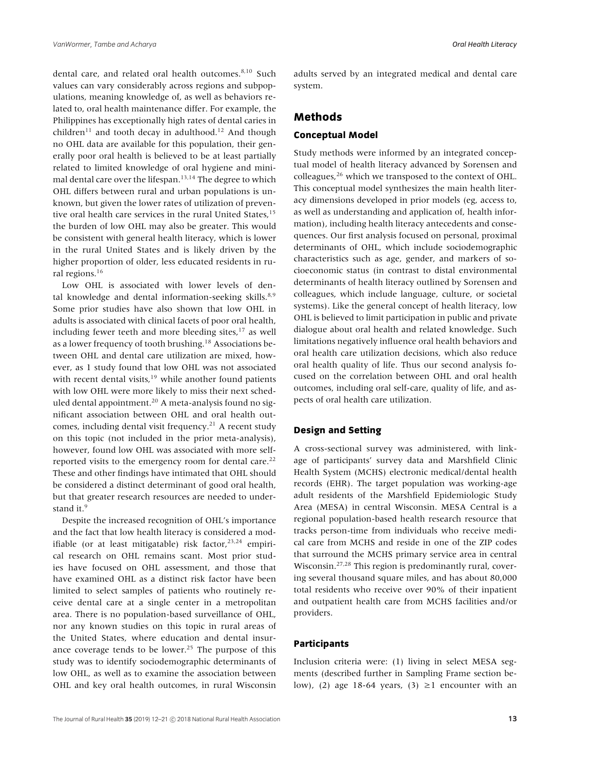dental care, and related oral health outcomes.<sup>8,10</sup> Such values can vary considerably across regions and subpopulations, meaning knowledge of, as well as behaviors related to, oral health maintenance differ. For example, the Philippines has exceptionally high rates of dental caries in children<sup>11</sup> and tooth decay in adulthood.<sup>12</sup> And though no OHL data are available for this population, their generally poor oral health is believed to be at least partially related to limited knowledge of oral hygiene and minimal dental care over the lifespan.<sup>13,14</sup> The degree to which OHL differs between rural and urban populations is unknown, but given the lower rates of utilization of preventive oral health care services in the rural United States,<sup>15</sup> the burden of low OHL may also be greater. This would be consistent with general health literacy, which is lower in the rural United States and is likely driven by the higher proportion of older, less educated residents in rural regions.<sup>16</sup>

Low OHL is associated with lower levels of dental knowledge and dental information-seeking skills. $8,9$ Some prior studies have also shown that low OHL in adults is associated with clinical facets of poor oral health, including fewer teeth and more bleeding sites, $17$  as well as a lower frequency of tooth brushing.<sup>18</sup> Associations between OHL and dental care utilization are mixed, however, as 1 study found that low OHL was not associated with recent dental visits, $19$  while another found patients with low OHL were more likely to miss their next scheduled dental appointment.<sup>20</sup> A meta-analysis found no significant association between OHL and oral health outcomes, including dental visit frequency.<sup>21</sup> A recent study on this topic (not included in the prior meta-analysis), however, found low OHL was associated with more selfreported visits to the emergency room for dental care.<sup>22</sup> These and other findings have intimated that OHL should be considered a distinct determinant of good oral health, but that greater research resources are needed to understand it.<sup>9</sup>

Despite the increased recognition of OHL's importance and the fact that low health literacy is considered a modifiable (or at least mitigatable) risk factor,  $23,24$  empirical research on OHL remains scant. Most prior studies have focused on OHL assessment, and those that have examined OHL as a distinct risk factor have been limited to select samples of patients who routinely receive dental care at a single center in a metropolitan area. There is no population-based surveillance of OHL, nor any known studies on this topic in rural areas of the United States, where education and dental insurance coverage tends to be lower.<sup>25</sup> The purpose of this study was to identify sociodemographic determinants of low OHL, as well as to examine the association between OHL and key oral health outcomes, in rural Wisconsin

adults served by an integrated medical and dental care system.

# **Methods**

#### **Conceptual Model**

Study methods were informed by an integrated conceptual model of health literacy advanced by Sorensen and colleagues,<sup>26</sup> which we transposed to the context of OHL. This conceptual model synthesizes the main health literacy dimensions developed in prior models (eg, access to, as well as understanding and application of, health information), including health literacy antecedents and consequences. Our first analysis focused on personal, proximal determinants of OHL, which include sociodemographic characteristics such as age, gender, and markers of socioeconomic status (in contrast to distal environmental determinants of health literacy outlined by Sorensen and colleagues, which include language, culture, or societal systems). Like the general concept of health literacy, low OHL is believed to limit participation in public and private dialogue about oral health and related knowledge. Such limitations negatively influence oral health behaviors and oral health care utilization decisions, which also reduce oral health quality of life. Thus our second analysis focused on the correlation between OHL and oral health outcomes, including oral self-care, quality of life, and aspects of oral health care utilization.

#### **Design and Setting**

A cross-sectional survey was administered, with linkage of participants' survey data and Marshfield Clinic Health System (MCHS) electronic medical/dental health records (EHR). The target population was working-age adult residents of the Marshfield Epidemiologic Study Area (MESA) in central Wisconsin. MESA Central is a regional population-based health research resource that tracks person-time from individuals who receive medical care from MCHS and reside in one of the ZIP codes that surround the MCHS primary service area in central Wisconsin.27,28 This region is predominantly rural, covering several thousand square miles, and has about 80,000 total residents who receive over 90% of their inpatient and outpatient health care from MCHS facilities and/or providers.

#### **Participants**

Inclusion criteria were: (1) living in select MESA segments (described further in Sampling Frame section below), (2) age 18-64 years, (3)  $\geq$ 1 encounter with an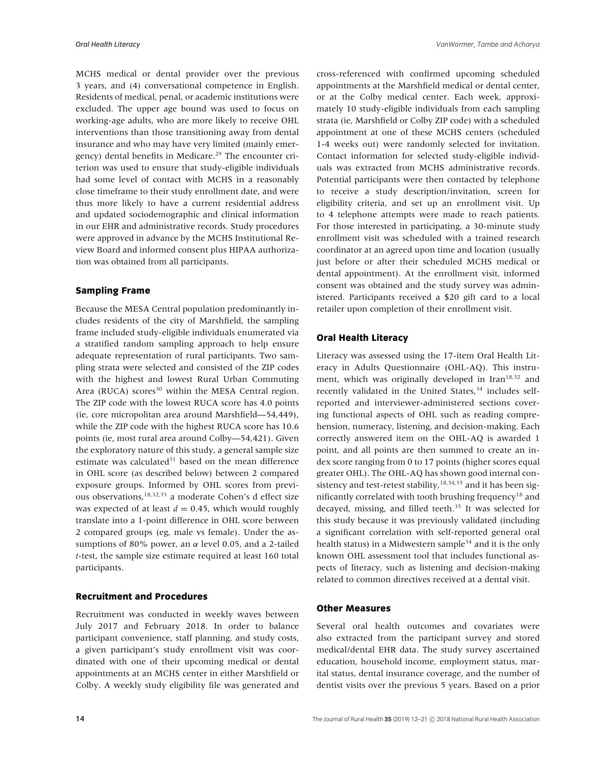MCHS medical or dental provider over the previous 3 years, and (4) conversational competence in English. Residents of medical, penal, or academic institutions were excluded. The upper age bound was used to focus on working-age adults, who are more likely to receive OHL interventions than those transitioning away from dental insurance and who may have very limited (mainly emergency) dental benefits in Medicare.<sup>29</sup> The encounter criterion was used to ensure that study-eligible individuals had some level of contact with MCHS in a reasonably close timeframe to their study enrollment date, and were thus more likely to have a current residential address and updated sociodemographic and clinical information in our EHR and administrative records. Study procedures were approved in advance by the MCHS Institutional Review Board and informed consent plus HIPAA authorization was obtained from all participants.

#### **Sampling Frame**

Because the MESA Central population predominantly includes residents of the city of Marshfield, the sampling frame included study-eligible individuals enumerated via a stratified random sampling approach to help ensure adequate representation of rural participants. Two sampling strata were selected and consisted of the ZIP codes with the highest and lowest Rural Urban Commuting Area (RUCA) scores<sup>30</sup> within the MESA Central region. The ZIP code with the lowest RUCA score has 4.0 points (ie, core micropolitan area around Marshfield—54,449), while the ZIP code with the highest RUCA score has 10.6 points (ie, most rural area around Colby—54,421). Given the exploratory nature of this study, a general sample size estimate was calculated $31$  based on the mean difference in OHL score (as described below) between 2 compared exposure groups. Informed by OHL scores from previous observations,18,32,33 a moderate Cohen's d effect size was expected of at least  $d = 0.45$ , which would roughly translate into a 1-point difference in OHL score between 2 compared groups (eg, male vs female). Under the assumptions of 80% power, an  $\alpha$  level 0.05, and a 2-tailed *t*-test, the sample size estimate required at least 160 total participants.

#### **Recruitment and Procedures**

Recruitment was conducted in weekly waves between July 2017 and February 2018. In order to balance participant convenience, staff planning, and study costs, a given participant's study enrollment visit was coordinated with one of their upcoming medical or dental appointments at an MCHS center in either Marshfield or Colby. A weekly study eligibility file was generated and

cross-referenced with confirmed upcoming scheduled appointments at the Marshfield medical or dental center, or at the Colby medical center. Each week, approximately 10 study-eligible individuals from each sampling strata (ie, Marshfield or Colby ZIP code) with a scheduled appointment at one of these MCHS centers (scheduled 1-4 weeks out) were randomly selected for invitation. Contact information for selected study-eligible individuals was extracted from MCHS administrative records. Potential participants were then contacted by telephone to receive a study description/invitation, screen for eligibility criteria, and set up an enrollment visit. Up to 4 telephone attempts were made to reach patients. For those interested in participating, a 30-minute study enrollment visit was scheduled with a trained research coordinator at an agreed upon time and location (usually just before or after their scheduled MCHS medical or dental appointment). At the enrollment visit, informed consent was obtained and the study survey was administered. Participants received a \$20 gift card to a local retailer upon completion of their enrollment visit.

#### **Oral Health Literacy**

Literacy was assessed using the 17-item Oral Health Literacy in Adults Questionnaire (OHL-AQ). This instrument, which was originally developed in Iran $18,32$  and recently validated in the United States,<sup>34</sup> includes selfreported and interviewer-administered sections covering functional aspects of OHL such as reading comprehension, numeracy, listening, and decision-making. Each correctly answered item on the OHL-AQ is awarded 1 point, and all points are then summed to create an index score ranging from 0 to 17 points (higher scores equal greater OHL). The OHL-AQ has shown good internal consistency and test-retest stability,  $18,34,35$  and it has been significantly correlated with tooth brushing frequency<sup>18</sup> and decayed, missing, and filled teeth.<sup>35</sup> It was selected for this study because it was previously validated (including a significant correlation with self-reported general oral health status) in a Midwestern sample<sup>34</sup> and it is the only known OHL assessment tool that includes functional aspects of literacy, such as listening and decision-making related to common directives received at a dental visit.

#### **Other Measures**

Several oral health outcomes and covariates were also extracted from the participant survey and stored medical/dental EHR data. The study survey ascertained education, household income, employment status, marital status, dental insurance coverage, and the number of dentist visits over the previous 5 years. Based on a prior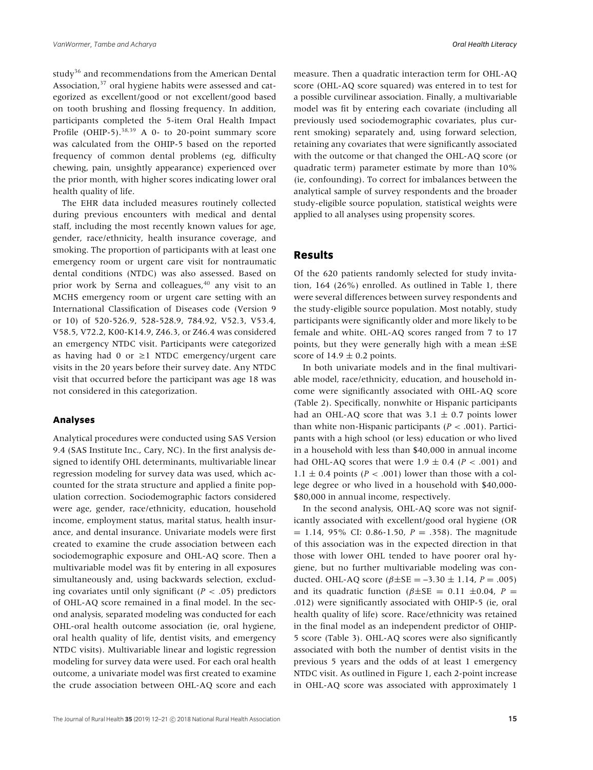study<sup>36</sup> and recommendations from the American Dental Association,<sup>37</sup> oral hygiene habits were assessed and categorized as excellent/good or not excellent/good based on tooth brushing and flossing frequency. In addition, participants completed the 5-item Oral Health Impact Profile (OHIP-5).<sup>38,39</sup> A 0- to 20-point summary score was calculated from the OHIP-5 based on the reported frequency of common dental problems (eg, difficulty chewing, pain, unsightly appearance) experienced over the prior month, with higher scores indicating lower oral health quality of life.

The EHR data included measures routinely collected during previous encounters with medical and dental staff, including the most recently known values for age, gender, race/ethnicity, health insurance coverage, and smoking. The proportion of participants with at least one emergency room or urgent care visit for nontraumatic dental conditions (NTDC) was also assessed. Based on prior work by Serna and colleagues, $40$  any visit to an MCHS emergency room or urgent care setting with an International Classification of Diseases code (Version 9 or 10) of 520-526.9, 528-528.9, 784.92, V52.3, V53.4, V58.5, V72.2, K00-K14.9, Z46.3, or Z46.4 was considered an emergency NTDC visit. Participants were categorized as having had 0 or  $\geq$ 1 NTDC emergency/urgent care visits in the 20 years before their survey date. Any NTDC visit that occurred before the participant was age 18 was not considered in this categorization.

### **Analyses**

Analytical procedures were conducted using SAS Version 9.4 (SAS Institute Inc., Cary, NC). In the first analysis designed to identify OHL determinants, multivariable linear regression modeling for survey data was used, which accounted for the strata structure and applied a finite population correction. Sociodemographic factors considered were age, gender, race/ethnicity, education, household income, employment status, marital status, health insurance, and dental insurance. Univariate models were first created to examine the crude association between each sociodemographic exposure and OHL-AQ score. Then a multivariable model was fit by entering in all exposures simultaneously and, using backwards selection, excluding covariates until only significant  $(P < .05)$  predictors of OHL-AQ score remained in a final model. In the second analysis, separated modeling was conducted for each OHL-oral health outcome association (ie, oral hygiene, oral health quality of life, dentist visits, and emergency NTDC visits). Multivariable linear and logistic regression modeling for survey data were used. For each oral health outcome, a univariate model was first created to examine the crude association between OHL-AQ score and each

measure. Then a quadratic interaction term for OHL-AQ score (OHL-AQ score squared) was entered in to test for a possible curvilinear association. Finally, a multivariable model was fit by entering each covariate (including all previously used sociodemographic covariates, plus current smoking) separately and, using forward selection, retaining any covariates that were significantly associated with the outcome or that changed the OHL-AQ score (or quadratic term) parameter estimate by more than 10% (ie, confounding). To correct for imbalances between the analytical sample of survey respondents and the broader study-eligible source population, statistical weights were applied to all analyses using propensity scores.

## **Results**

Of the 620 patients randomly selected for study invitation, 164 (26%) enrolled. As outlined in Table 1, there were several differences between survey respondents and the study-eligible source population. Most notably, study participants were significantly older and more likely to be female and white. OHL-AQ scores ranged from 7 to 17 points, but they were generally high with a mean ±SE score of  $14.9 \pm 0.2$  points.

In both univariate models and in the final multivariable model, race/ethnicity, education, and household income were significantly associated with OHL-AQ score (Table 2). Specifically, nonwhite or Hispanic participants had an OHL-AQ score that was  $3.1 \pm 0.7$  points lower than white non-Hispanic participants  $(P < .001)$ . Participants with a high school (or less) education or who lived in a household with less than \$40,000 in annual income had OHL-AQ scores that were  $1.9 \pm 0.4$  ( $P < .001$ ) and 1.1  $\pm$  0.4 points (*P* < .001) lower than those with a college degree or who lived in a household with \$40,000- \$80,000 in annual income, respectively.

In the second analysis, OHL-AQ score was not significantly associated with excellent/good oral hygiene (OR  $= 1.14$ , 95% CI: 0.86-1.50,  $P = .358$ ). The magnitude of this association was in the expected direction in that those with lower OHL tended to have poorer oral hygiene, but no further multivariable modeling was conducted. OHL-AQ score ( $β±SE = -3.30 ± 1.14, P = .005$ ) and its quadratic function ( $\beta \pm SE = 0.11 \pm 0.04$ ,  $P =$ .012) were significantly associated with OHIP-5 (ie, oral health quality of life) score. Race/ethnicity was retained in the final model as an independent predictor of OHIP-5 score (Table 3). OHL-AQ scores were also significantly associated with both the number of dentist visits in the previous 5 years and the odds of at least 1 emergency NTDC visit. As outlined in Figure 1, each 2-point increase in OHL-AQ score was associated with approximately 1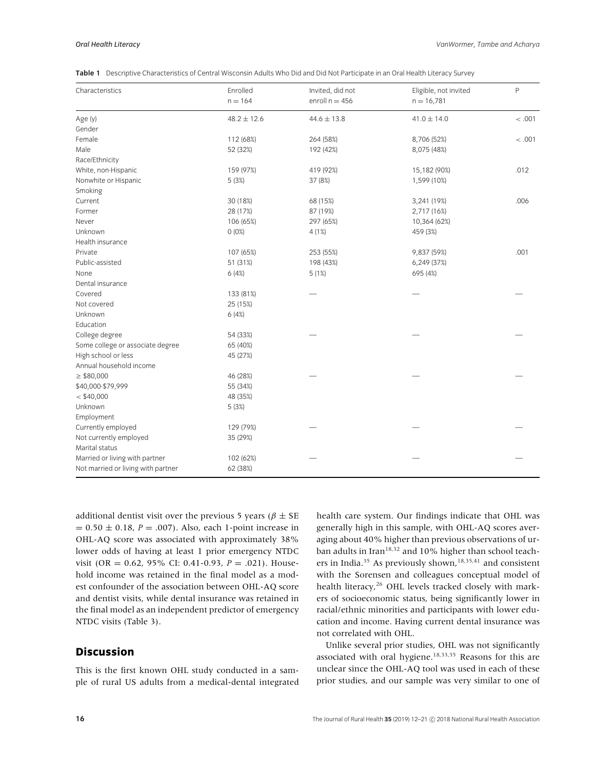| Table 1 Descriptive Characteristics of Central Wisconsin Adults Who Did and Did Not Participate in an Oral Health Literacy Survey |  |  |
|-----------------------------------------------------------------------------------------------------------------------------------|--|--|
|-----------------------------------------------------------------------------------------------------------------------------------|--|--|

| Characteristics                    | Enrolled        | Invited, did not | Eligible, not invited | $\mathsf{P}$ |
|------------------------------------|-----------------|------------------|-----------------------|--------------|
|                                    | $n = 164$       | enroll $n = 456$ | $n = 16,781$          |              |
| Age (y)                            | $48.2 \pm 12.6$ | $44.6 \pm 13.8$  | $41.0 \pm 14.0$       | < .001       |
| Gender                             |                 |                  |                       |              |
| Female                             | 112 (68%)       | 264 (58%)        | 8,706 (52%)           | < .001       |
| Male                               | 52 (32%)        | 192 (42%)        | 8,075 (48%)           |              |
| Race/Ethnicity                     |                 |                  |                       |              |
| White, non-Hispanic                | 159 (97%)       | 419 (92%)        | 15,182 (90%)          | .012         |
| Nonwhite or Hispanic               | 5 (3%)          | 37 (8%)          | 1,599 (10%)           |              |
| Smoking                            |                 |                  |                       |              |
| Current                            | 30 (18%)        | 68 (15%)         | 3,241 (19%)           | .006         |
| Former                             | 28 (17%)        | 87 (19%)         | 2,717 (16%)           |              |
| Never                              | 106 (65%)       | 297 (65%)        | 10,364 (62%)          |              |
| Unknown                            | 0(0%)           | 4(1%)            | 459 (3%)              |              |
| Health insurance                   |                 |                  |                       |              |
| Private                            | 107 (65%)       | 253 (55%)        | 9,837 (59%)           | .001         |
| Public-assisted                    | 51 (31%)        | 198 (43%)        | 6,249 (37%)           |              |
| None                               | 6(4%)           | 5(1%)            | 695 (4%)              |              |
| Dental insurance                   |                 |                  |                       |              |
| Covered                            | 133 (81%)       |                  |                       |              |
| Not covered                        | 25 (15%)        |                  |                       |              |
| Unknown                            | 6(4%)           |                  |                       |              |
| Education                          |                 |                  |                       |              |
| College degree                     | 54 (33%)        |                  |                       |              |
| Some college or associate degree   | 65 (40%)        |                  |                       |              |
| High school or less                | 45 (27%)        |                  |                       |              |
| Annual household income            |                 |                  |                       |              |
| $\geq$ \$80,000                    | 46 (28%)        |                  |                       |              |
| \$40,000-\$79,999                  | 55 (34%)        |                  |                       |              |
| $<$ \$40,000                       | 48 (35%)        |                  |                       |              |
| Unknown                            | 5 (3%)          |                  |                       |              |
| Employment                         |                 |                  |                       |              |
| Currently employed                 | 129 (79%)       |                  |                       |              |
| Not currently employed             | 35 (29%)        |                  |                       |              |
| Marital status                     |                 |                  |                       |              |
| Married or living with partner     | 102 (62%)       |                  |                       |              |
| Not married or living with partner | 62 (38%)        |                  |                       |              |

additional dentist visit over the previous 5 years ( $\beta \pm SE$  $= 0.50 \pm 0.18$ , *P* = .007). Also, each 1-point increase in OHL-AQ score was associated with approximately 38% lower odds of having at least 1 prior emergency NTDC visit (OR = 0.62, 95% CI: 0.41-0.93, *P* = .021). Household income was retained in the final model as a modest confounder of the association between OHL-AQ score and dentist visits, while dental insurance was retained in the final model as an independent predictor of emergency NTDC visits (Table 3).

# **Discussion**

This is the first known OHL study conducted in a sample of rural US adults from a medical-dental integrated health care system. Our findings indicate that OHL was generally high in this sample, with OHL-AQ scores averaging about 40% higher than previous observations of urban adults in Iran<sup>18,32</sup> and 10% higher than school teachers in India.<sup>35</sup> As previously shown,<sup>18,35,41</sup> and consistent with the Sorensen and colleagues conceptual model of health literacy,<sup>26</sup> OHL levels tracked closely with markers of socioeconomic status, being significantly lower in racial/ethnic minorities and participants with lower education and income. Having current dental insurance was not correlated with OHL.

Unlike several prior studies, OHL was not significantly associated with oral hygiene.<sup>18,33,35</sup> Reasons for this are unclear since the OHL-AQ tool was used in each of these prior studies, and our sample was very similar to one of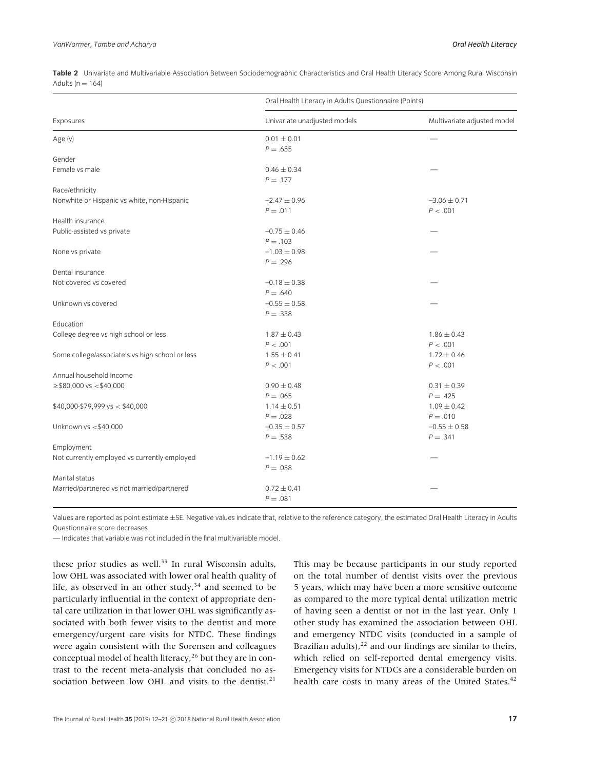|                                                 | Oral Health Literacy in Adults Questionnaire (Points) |                                |
|-------------------------------------------------|-------------------------------------------------------|--------------------------------|
| Exposures                                       | Univariate unadjusted models                          | Multivariate adjusted model    |
| Age (y)                                         | $0.01 \pm 0.01$<br>$P = .655$                         |                                |
| Gender                                          |                                                       |                                |
| Female vs male                                  | $0.46 \pm 0.34$<br>$P = .177$                         |                                |
| Race/ethnicity                                  |                                                       |                                |
| Nonwhite or Hispanic vs white, non-Hispanic     | $-2.47 \pm 0.96$<br>$P = .011$                        | $-3.06 \pm 0.71$<br>P < .001   |
| Health insurance                                |                                                       |                                |
| Public-assisted vs private                      | $-0.75 \pm 0.46$<br>$P = .103$                        |                                |
| None vs private                                 | $-1.03 \pm 0.98$<br>$P = .296$                        |                                |
| Dental insurance                                |                                                       |                                |
| Not covered vs covered                          | $-0.18 \pm 0.38$<br>$P = .640$                        |                                |
| Unknown vs covered                              | $-0.55 \pm 0.58$<br>$P = .338$                        |                                |
| Education                                       |                                                       |                                |
| College degree vs high school or less           | $1.87 \pm 0.43$<br>P < .001                           | $1.86 \pm 0.43$<br>P < .001    |
| Some college/associate's vs high school or less | $1.55 \pm 0.41$<br>P < .001                           | $1.72 \pm 0.46$<br>P < .001    |
| Annual household income                         |                                                       |                                |
| $\ge$ \$80,000 vs < \$40,000                    | $0.90 \pm 0.48$<br>$P = .065$                         | $0.31 \pm 0.39$<br>$P = .425$  |
| $$40,000 - $79,999$ vs $< $40,000$              | $1.14 \pm 0.51$<br>$P = .028$                         | $1.09 \pm 0.42$<br>$P = .010$  |
| Unknown vs <\$40,000                            | $-0.35 \pm 0.57$<br>$P = .538$                        | $-0.55 \pm 0.58$<br>$P = .341$ |
| Employment                                      |                                                       |                                |
| Not currently employed vs currently employed    | $-1.19 \pm 0.62$<br>$P = .058$                        |                                |
| Marital status                                  |                                                       |                                |
| Married/partnered vs not married/partnered      | $0.72 \pm 0.41$<br>$P = .081$                         |                                |

**Table 2** Univariate and Multivariable Association Between Sociodemographic Characteristics and Oral Health Literacy Score Among Rural Wisconsin Adults ( $n = 164$ )

Values are reported as point estimate ±SE. Negative values indicate that, relative to the reference category, the estimated Oral Health Literacy in Adults Questionnaire score decreases.

— Indicates that variable was not included in the final multivariable model.

these prior studies as well.<sup>33</sup> In rural Wisconsin adults, low OHL was associated with lower oral health quality of life, as observed in an other study, $34$  and seemed to be particularly influential in the context of appropriate dental care utilization in that lower OHL was significantly associated with both fewer visits to the dentist and more emergency/urgent care visits for NTDC. These findings were again consistent with the Sorensen and colleagues conceptual model of health literacy, $26$  but they are in contrast to the recent meta-analysis that concluded no association between low OHL and visits to the dentist.<sup>21</sup> This may be because participants in our study reported on the total number of dentist visits over the previous 5 years, which may have been a more sensitive outcome as compared to the more typical dental utilization metric of having seen a dentist or not in the last year. Only 1 other study has examined the association between OHL and emergency NTDC visits (conducted in a sample of Brazilian adults), $^{22}$  and our findings are similar to theirs, which relied on self-reported dental emergency visits. Emergency visits for NTDCs are a considerable burden on health care costs in many areas of the United States.<sup>42</sup>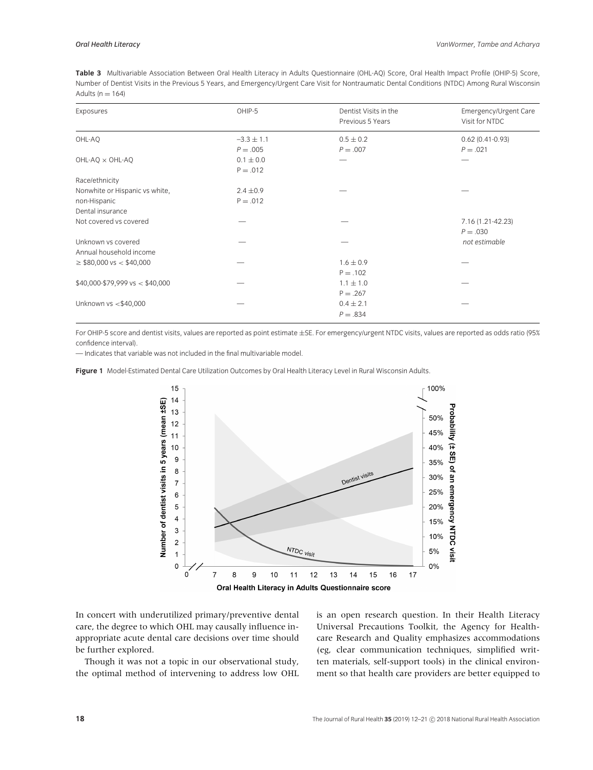**Table 3** Multivariable Association Between Oral Health Literacy in Adults Questionnaire (OHL-AQ) Score, Oral Health Impact Profile (OHIP-5) Score, Number of Dentist Visits in the Previous 5 Years, and Emergency/Urgent Care Visit for Nontraumatic Dental Conditions (NTDC) Among Rural Wisconsin Adults ( $n = 164$ )

| Exposures                                     | OHIP-5                       | Dentist Visits in the<br>Previous 5 Years | Emergency/Urgent Care<br>Visit for NTDC |
|-----------------------------------------------|------------------------------|-------------------------------------------|-----------------------------------------|
| OHL-AO                                        | $-3.3 \pm 1.1$<br>$P = .005$ | $0.5 \pm 0.2$<br>$P = .007$               | $0.62(0.41-0.93)$<br>$P = .021$         |
| OHL-AQ x OHL-AQ                               | $0.1 \pm 0.0$<br>$P = .012$  |                                           |                                         |
| Race/ethnicity                                |                              |                                           |                                         |
| Nonwhite or Hispanic vs white,                | $2.4 \pm 0.9$                |                                           |                                         |
| non-Hispanic                                  | $P = .012$                   |                                           |                                         |
| Dental insurance                              |                              |                                           |                                         |
| Not covered vs covered                        |                              |                                           | 7.16 (1.21-42.23)<br>$P = .030$         |
| Unknown vs covered<br>Annual household income |                              |                                           | not estimable                           |
| $\geq$ \$80,000 vs < \$40,000                 |                              | $1.6 \pm 0.9$<br>$P = .102$               |                                         |
| $$40,000 - $79,999 \text{ vs} < $40,000$      |                              | $1.1 \pm 1.0$<br>$P = .267$               |                                         |
| Unknown vs <\$40,000                          |                              | $0.4 \pm 2.1$<br>$P = .834$               |                                         |

For OHIP-5 score and dentist visits, values are reported as point estimate ±SE. For emergency/urgent NTDC visits, values are reported as odds ratio (95% confidence interval).

— Indicates that variable was not included in the final multivariable model.

**Figure 1** Model-Estimated Dental Care Utilization Outcomes by Oral Health Literacy Level in Rural Wisconsin Adults.



In concert with underutilized primary/preventive dental care, the degree to which OHL may causally influence inappropriate acute dental care decisions over time should be further explored.

Though it was not a topic in our observational study, the optimal method of intervening to address low OHL is an open research question. In their Health Literacy Universal Precautions Toolkit, the Agency for Healthcare Research and Quality emphasizes accommodations (eg, clear communication techniques, simplified written materials, self-support tools) in the clinical environment so that health care providers are better equipped to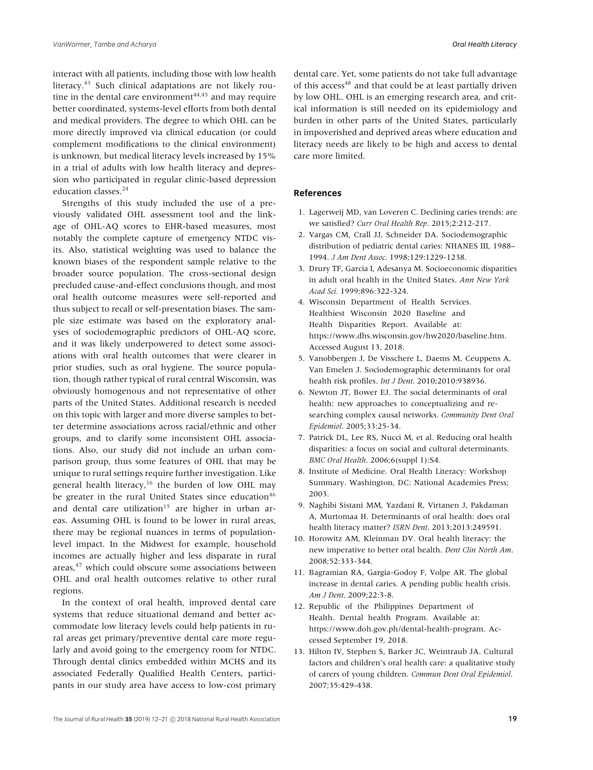interact with all patients, including those with low health literacy.<sup>43</sup> Such clinical adaptations are not likely routine in the dental care environment $44,45$  and may require better coordinated, systems-level efforts from both dental and medical providers. The degree to which OHL can be more directly improved via clinical education (or could complement modifications to the clinical environment) is unknown, but medical literacy levels increased by 15% in a trial of adults with low health literacy and depression who participated in regular clinic-based depression education classes.<sup>24</sup>

Strengths of this study included the use of a previously validated OHL assessment tool and the linkage of OHL-AQ scores to EHR-based measures, most notably the complete capture of emergency NTDC visits. Also, statistical weighting was used to balance the known biases of the respondent sample relative to the broader source population. The cross-sectional design precluded cause-and-effect conclusions though, and most oral health outcome measures were self-reported and thus subject to recall or self-presentation biases. The sample size estimate was based on the exploratory analyses of sociodemographic predictors of OHL-AQ score, and it was likely underpowered to detect some associations with oral health outcomes that were clearer in prior studies, such as oral hygiene. The source population, though rather typical of rural central Wisconsin, was obviously homogenous and not representative of other parts of the United States. Additional research is needed on this topic with larger and more diverse samples to better determine associations across racial/ethnic and other groups, and to clarify some inconsistent OHL associations. Also, our study did not include an urban comparison group, thus some features of OHL that may be unique to rural settings require further investigation. Like general health literacy,<sup>16</sup> the burden of low OHL may be greater in the rural United States since education<sup>46</sup> and dental care utilization<sup>15</sup> are higher in urban areas. Assuming OHL is found to be lower in rural areas, there may be regional nuances in terms of populationlevel impact. In the Midwest for example, household incomes are actually higher and less disparate in rural areas,<sup>47</sup> which could obscure some associations between OHL and oral health outcomes relative to other rural regions.

In the context of oral health, improved dental care systems that reduce situational demand and better accommodate low literacy levels could help patients in rural areas get primary/preventive dental care more regularly and avoid going to the emergency room for NTDC. Through dental clinics embedded within MCHS and its associated Federally Qualified Health Centers, participants in our study area have access to low-cost primary

dental care. Yet, some patients do not take full advantage of this access<sup>48</sup> and that could be at least partially driven by low OHL. OHL is an emerging research area, and critical information is still needed on its epidemiology and burden in other parts of the United States, particularly in impoverished and deprived areas where education and literacy needs are likely to be high and access to dental care more limited.

#### **References**

- 1. Lagerweij MD, van Loveren C. Declining caries trends: are we satisfied? *Curr Oral Health Rep*. 2015;2:212-217.
- 2. Vargas CM, Crall JJ, Schneider DA. Sociodemographic distribution of pediatric dental caries: NHANES III, 1988– 1994. *J Am Dent Assoc*. 1998;129:1229-1238.
- 3. Drury TF, Garcia I, Adesanya M. Socioeconomic disparities in adult oral health in the United States. *Ann New York Acad Sci.* 1999;896:322-324.
- 4. Wisconsin Department of Health Services. Healthiest Wisconsin 2020 Baseline and Health Disparities Report. Available at: https://www.dhs.wisconsin.gov/hw2020/baseline.htm. Accessed August 13, 2018.
- 5. Vanobbergen J, De Visschere L, Daems M, Ceuppens A, Van Emelen J. Sociodemographic determinants for oral health risk profiles. *Int J Dent*. 2010;2010:938936.
- 6. Newton JT, Bower EJ. The social determinants of oral health: new approaches to conceptualizing and researching complex causal networks. *Community Dent Oral Epidemiol*. 2005;33:25-34.
- 7. Patrick DL, Lee RS, Nucci M, et al. Reducing oral health disparities: a focus on social and cultural determinants. *BMC Oral Health*. 2006;6(suppl 1):S4.
- 8. Institute of Medicine. Oral Health Literacy: Workshop Summary. Washington, DC: National Academies Press; 2003.
- 9. Naghibi Sistani MM, Yazdani R, Virtanen J, Pakdaman A, Murtomaa H. Determinants of oral health: does oral health literacy matter? *ISRN Dent*. 2013;2013:249591.
- 10. Horowitz AM, Kleinman DV. Oral health literacy: the new imperative to better oral health. *Dent Clin North Am*. 2008;52:333-344.
- 11. Bagramian RA, Gargia-Godoy F, Volpe AR. The global increase in dental caries. A pending public health crisis. *Am J Dent*. 2009;22:3-8.
- 12. Republic of the Philippines Department of Health. Dental health Program. Available at: https://www.doh.gov.ph/dental-health-program. Accessed September 19, 2018.
- 13. Hilton IV, Stephen S, Barker JC, Weintraub JA. Cultural factors and children's oral health care: a qualitative study of carers of young children. *Commun Dent Oral Epidemiol*. 2007;35:429-438.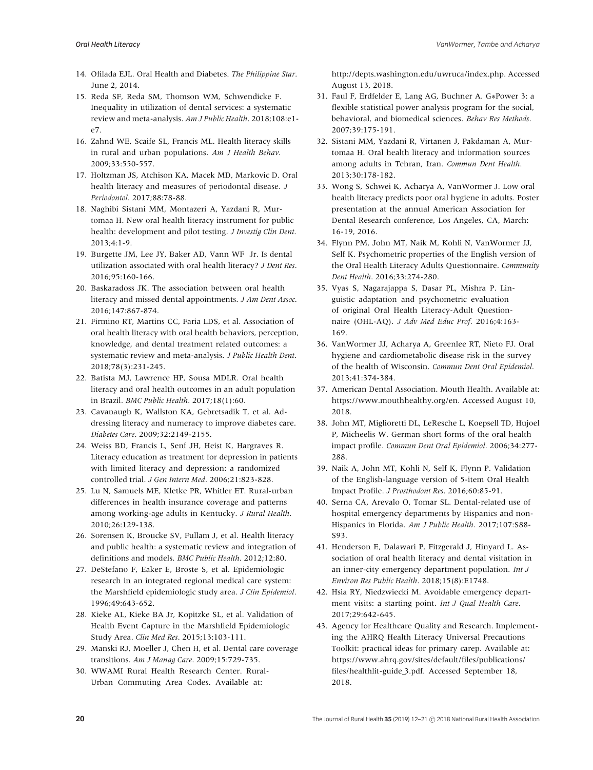- 14. Ofilada EJL. Oral Health and Diabetes. *The Philippine Star*. June 2, 2014.
- 15. Reda SF, Reda SM, Thomson WM, Schwendicke F. Inequality in utilization of dental services: a systematic review and meta-analysis. *Am J Public Health*. 2018;108:e1 e7.
- 16. Zahnd WE, Scaife SL, Francis ML. Health literacy skills in rural and urban populations. *Am J Health Behav*. 2009;33:550-557.
- 17. Holtzman JS, Atchison KA, Macek MD, Markovic D. Oral health literacy and measures of periodontal disease. *J Periodontol*. 2017;88:78-88.
- 18. Naghibi Sistani MM, Montazeri A, Yazdani R, Murtomaa H. New oral health literacy instrument for public health: development and pilot testing. *J Investig Clin Dent*. 2013;4:1-9.
- 19. Burgette JM, Lee JY, Baker AD, Vann WF Jr. Is dental utilization associated with oral health literacy? *J Dent Res*. 2016;95:160-166.
- 20. Baskaradoss JK. The association between oral health literacy and missed dental appointments. *J Am Dent Assoc*. 2016;147:867-874.
- 21. Firmino RT, Martins CC, Faria LDS, et al. Association of oral health literacy with oral health behaviors, perception, knowledge, and dental treatment related outcomes: a systematic review and meta-analysis. *J Public Health Dent*. 2018;78(3):231-245.
- 22. Batista MJ, Lawrence HP, Sousa MDLR. Oral health literacy and oral health outcomes in an adult population in Brazil. *BMC Public Health*. 2017;18(1):60.
- 23. Cavanaugh K, Wallston KA, Gebretsadik T, et al. Addressing literacy and numeracy to improve diabetes care. *Diabetes Care*. 2009;32:2149-2155.
- 24. Weiss BD, Francis L, Senf JH, Heist K, Hargraves R. Literacy education as treatment for depression in patients with limited literacy and depression: a randomized controlled trial. *J Gen Intern Med*. 2006;21:823-828.
- 25. Lu N, Samuels ME, Kletke PR, Whitler ET. Rural-urban differences in health insurance coverage and patterns among working-age adults in Kentucky. *J Rural Health*. 2010;26:129-138.
- 26. Sorensen K, Broucke SV, Fullam J, et al. Health literacy and public health: a systematic review and integration of definitions and models. *BMC Public Health*. 2012;12:80.
- 27. DeStefano F, Eaker E, Broste S, et al. Epidemiologic research in an integrated regional medical care system: the Marshfield epidemiologic study area. *J Clin Epidemiol*. 1996;49:643-652.
- 28. Kieke AL, Kieke BA Jr, Kopitzke SL, et al. Validation of Health Event Capture in the Marshfield Epidemiologic Study Area. *Clin Med Res*. 2015;13:103-111.
- 29. Manski RJ, Moeller J, Chen H, et al. Dental care coverage transitions. *Am J Manag Care*. 2009;15:729-735.
- 30. WWAMI Rural Health Research Center. Rural-Urban Commuting Area Codes. Available at:

http://depts.washington.edu/uwruca/index.php. Accessed August 13, 2018.

- 31. Faul F, Erdfelder E, Lang AG, Buchner A. G∗Power 3: a flexible statistical power analysis program for the social, behavioral, and biomedical sciences. *Behav Res Methods*. 2007;39:175-191.
- 32. Sistani MM, Yazdani R, Virtanen J, Pakdaman A, Murtomaa H. Oral health literacy and information sources among adults in Tehran, Iran. *Commun Dent Health*. 2013;30:178-182.
- 33. Wong S, Schwei K, Acharya A, VanWormer J. Low oral health literacy predicts poor oral hygiene in adults. Poster presentation at the annual American Association for Dental Research conference, Los Angeles, CA, March: 16-19, 2016.
- 34. Flynn PM, John MT, Naik M, Kohli N, VanWormer JJ, Self K. Psychometric properties of the English version of the Oral Health Literacy Adults Questionnaire. *Community Dent Health*. 2016;33:274-280.
- 35. Vyas S, Nagarajappa S, Dasar PL, Mishra P. Linguistic adaptation and psychometric evaluation of original Oral Health Literacy-Adult Questionnaire (OHL-AQ). *J Adv Med Educ Prof*. 2016;4:163- 169.
- 36. VanWormer JJ, Acharya A, Greenlee RT, Nieto FJ. Oral hygiene and cardiometabolic disease risk in the survey of the health of Wisconsin. *Commun Dent Oral Epidemiol*. 2013;41:374-384.
- 37. American Dental Association. Mouth Health. Available at: https://www.mouthhealthy.org/en. Accessed August 10, 2018.
- 38. John MT, Miglioretti DL, LeResche L, Koepsell TD, Hujoel P, Micheelis W. German short forms of the oral health impact profile. *Commun Dent Oral Epidemiol*. 2006;34:277- 288.
- 39. Naik A, John MT, Kohli N, Self K, Flynn P. Validation of the English-language version of 5-item Oral Health Impact Profile. *J Prosthodont Res*. 2016;60:85-91.
- 40. Serna CA, Arevalo O, Tomar SL. Dental-related use of hospital emergency departments by Hispanics and non-Hispanics in Florida. *Am J Public Health*. 2017;107:S88- S93.
- 41. Henderson E, Dalawari P, Fitzgerald J, Hinyard L. Association of oral health literacy and dental visitation in an inner-city emergency department population. *Int J Environ Res Public Health*. 2018;15(8):E1748.
- 42. Hsia RY, Niedzwiecki M. Avoidable emergency department visits: a starting point. *Int J Qual Health Care*. 2017;29:642-645.
- 43. Agency for Healthcare Quality and Research. Implementing the AHRQ Health Literacy Universal Precautions Toolkit: practical ideas for primary carep. Available at: https://www.ahrq.gov/sites/default/files/publications/ files/healthlit-guide\_3.pdf. Accessed September 18, 2018.